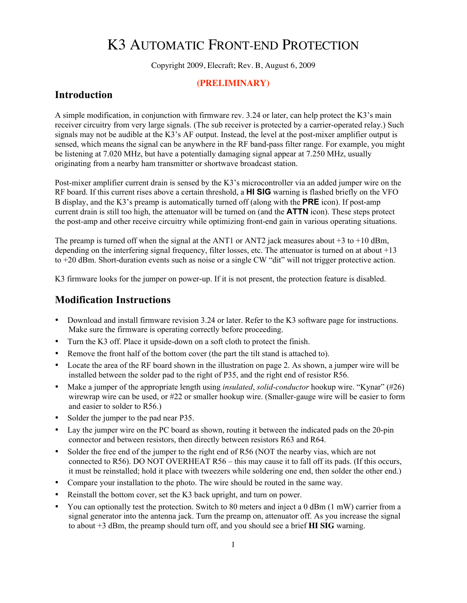## K3 AUTOMATIC FRONT-END PROTECTION

Copyright 2009, Elecraft; Rev. B, August 6, 2009

## **(PRELIMINARY)**

## Introduction

A simple modification, in conjunction with firmware rev. 3.24 or later, can help protect the K3's main receiver circuitry from very large signals. (The sub receiver is protected by a carrier-operated relay.) Such signals may not be audible at the K3's AF output. Instead, the level at the post-mixer amplifier output is sensed, which means the signal can be anywhere in the RF band-pass filter range. For example, you might be listening at 7.020 MHz, but have a potentially damaging signal appear at 7.250 MHz, usually originating from a nearby ham transmitter or shortwave broadcast station.

Post-mixer amplifier current drain is sensed by the K3's microcontroller via an added jumper wire on the RF board. If this current rises above a certain threshold, a **HI SIG** warning is flashed briefly on the VFO B display, and the K3's preamp is automatically turned off (along with the **PRE** icon). If post-amp current drain is still too high, the attenuator will be turned on (and the **ATTN** icon). These steps protect the post-amp and other receive circuitry while optimizing front-end gain in various operating situations.

The preamp is turned off when the signal at the ANT1 or ANT2 jack measures about  $+3$  to  $+10$  dBm, depending on the interfering signal frequency, filter losses, etc. The attenuator is turned on at about +13 to +20 dBm. Short-duration events such as noise or a single CW "dit" will not trigger protective action.

K3 firmware looks for the jumper on power-up. If it is not present, the protection feature is disabled.

## Modification Instructions

- Download and install firmware revision 3.24 or later. Refer to the K3 software page for instructions. Make sure the firmware is operating correctly before proceeding.
- Turn the K3 off. Place it upside-down on a soft cloth to protect the finish.
- Remove the front half of the bottom cover (the part the tilt stand is attached to).
- Locate the area of the RF board shown in the illustration on page 2. As shown, a jumper wire will be installed between the solder pad to the right of P35, and the right end of resistor R56.
- Make a jumper of the appropriate length using *insulated*, *solid-conductor* hookup wire. "Kynar" (#26) wirewrap wire can be used, or #22 or smaller hookup wire. (Smaller-gauge wire will be easier to form and easier to solder to R56.)
- Solder the jumper to the pad near P35.
- Lay the jumper wire on the PC board as shown, routing it between the indicated pads on the 20-pin connector and between resistors, then directly between resistors R63 and R64.
- Solder the free end of the jumper to the right end of R56 (NOT the nearby vias, which are not connected to R56). DO NOT OVERHEAT R56 – this may cause it to fall off its pads. (If this occurs, it must be reinstalled; hold it place with tweezers while soldering one end, then solder the other end.)
- Compare your installation to the photo. The wire should be routed in the same way.
- Reinstall the bottom cover, set the K3 back upright, and turn on power.
- You can optionally test the protection. Switch to 80 meters and inject a 0 dBm (1 mW) carrier from a signal generator into the antenna jack. Turn the preamp on, attenuator off. As you increase the signal to about +3 dBm, the preamp should turn off, and you should see a brief **HI SIG** warning.